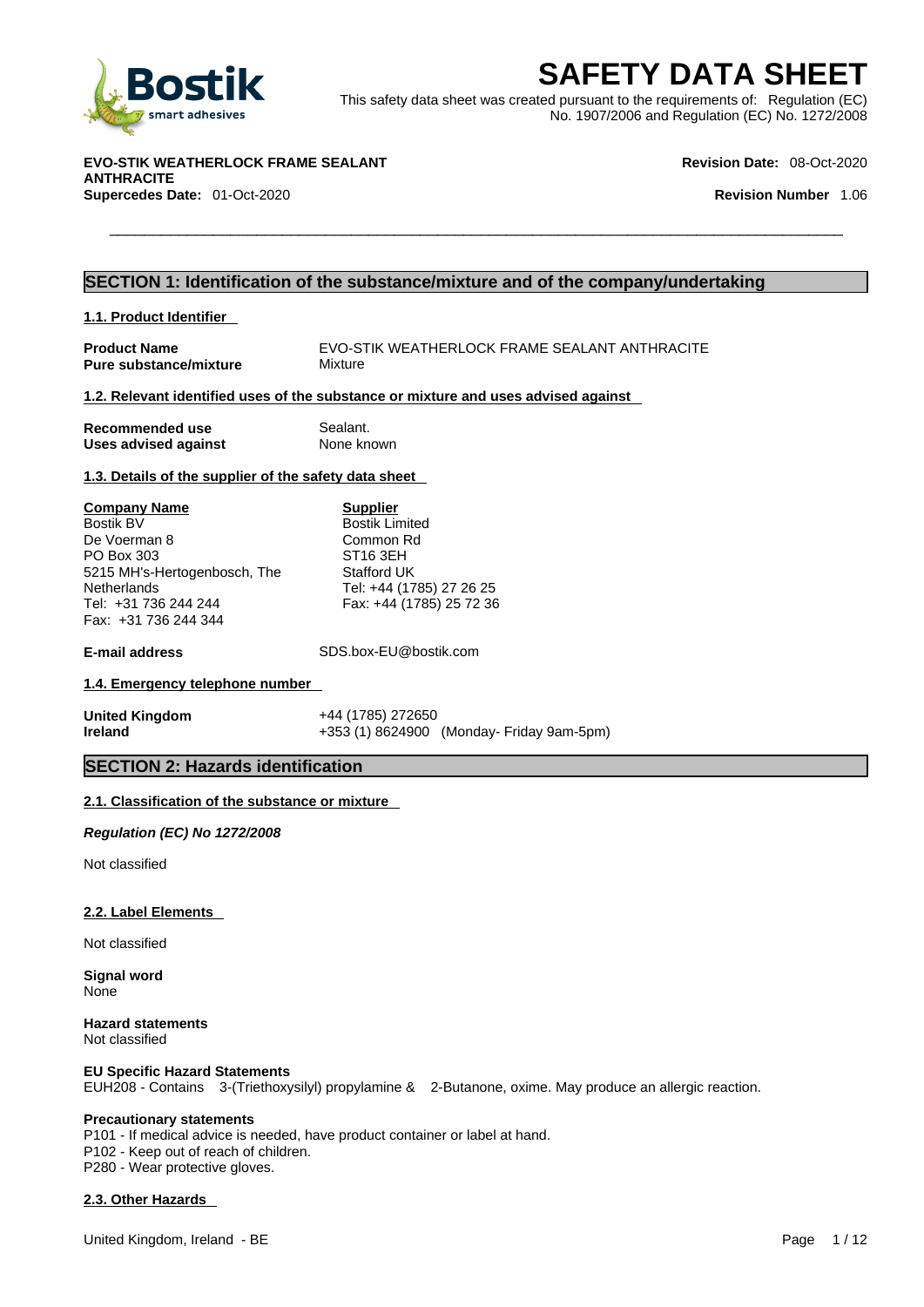

**SAFETY DATA SHEET**<br>
Smart adhesives<br>
This safety data sheet was created pursuant to the requirements of: Regulation (EC)<br>
No. 1907/2006 and Regulation (EC) No. 1272/2008<br>
No. 1907/2006 and Regulation (EC) No. 1272/2008<br>
R This safety data sheet was created pursuant to the requirements of: Regulation (EC) No. 1907/2006 and Regulation (EC) No. 1272/2008

**EVO-STIK WEATHERLOCK FRAME SEALANT ANTHRACITE Supercedes Date:** 01-Oct-2020 **Revision Number** 1.06

**Revision Date:** 08-Oct-2020

### **SECTION 1: Identification of the substance/mixture and of the company/undertaking**

**1.1. Product Identifier** 

**Product Name** EVO-STIK WEATHERLOCK FRAME SEALANT ANTHRACITE<br>**Pure substance/mixture** Mixture **Pure substance/mixture** 

### **1.2. Relevant identified uses of the substance or mixture and uses advised against**

| Recommended use             | Sealant.   |
|-----------------------------|------------|
| <b>Uses advised against</b> | None known |

### **1.3. Details of the supplier of the safety data sheet**

**Company Name** Bostik BV De Voerman 8 PO Box 303 5215 MH's-Hertogenbosch, The **Netherlands** Tel: +31 736 244 244 Fax: +31 736 244 344

**Supplier** Bostik Limited Common Rd ST16 3EH Stafford UK Tel: +44 (1785) 27 26 25 Fax: +44 (1785) 25 72 36

**E-mail address** SDS.box-EU@bostik.com

### **1.4. Emergency telephone number**

| United Kingdom | +44 (1785) 272650                         |
|----------------|-------------------------------------------|
| Ireland        | +353 (1) 8624900 (Monday- Friday 9am-5pm) |

### **SECTION 2: Hazards identification**

### **2.1. Classification of the substance or mixture**

*Regulation (EC) No 1272/2008* 

Not classified

### **2.2. Label Elements**

Not classified

**Signal word** None

**Hazard statements** Not classified

### **EU Specific Hazard Statements**

EUH208 - Contains 3-(Triethoxysilyl) propylamine & 2-Butanone, oxime. May produce an allergic reaction.

### **Precautionary statements**

P101 - If medical advice is needed, have product container or label at hand. P102 - Keep out of reach of children.

P280 - Wear protective gloves.

### **2.3. Other Hazards**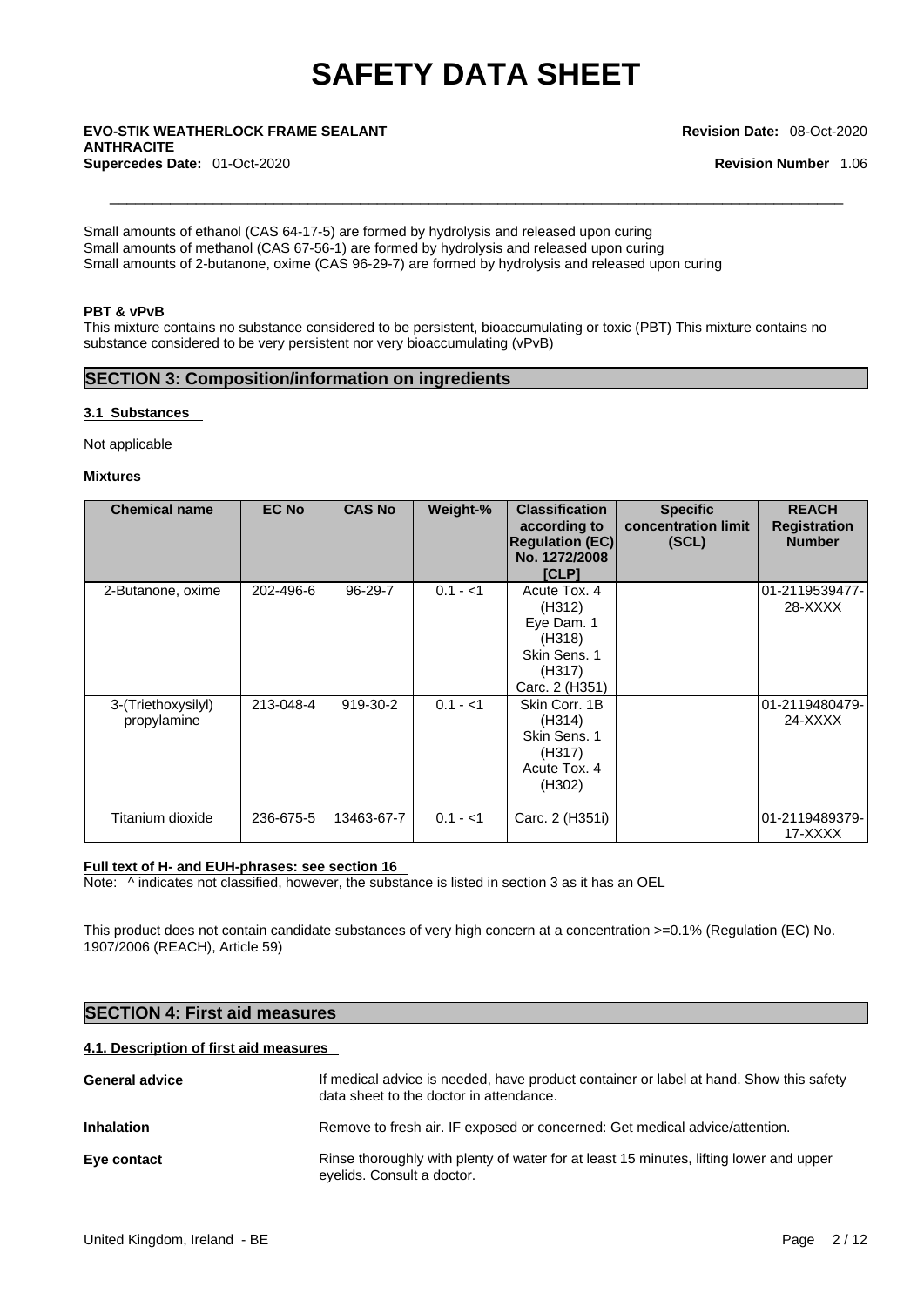### \_\_\_\_\_\_\_\_\_\_\_\_\_\_\_\_\_\_\_\_\_\_\_\_\_\_\_\_\_\_\_\_\_\_\_\_\_\_\_\_\_\_\_\_\_\_\_\_\_\_\_\_\_\_\_\_\_\_\_\_\_\_\_\_\_\_\_\_\_\_\_\_\_\_\_\_\_\_\_\_\_\_\_\_\_ **EVO-STIK WEATHERLOCK FRAME SEALANT ANTHRACITE Supercedes Date:** 01-Oct-2020 **Revision Number** 1.06

#### **Revision Date:** 08-Oct-2020

Small amounts of ethanol (CAS 64-17-5) are formed by hydrolysis and released upon curing Small amounts of methanol (CAS 67-56-1) are formed by hydrolysis and released upon curing Small amounts of 2-butanone, oxime (CAS 96-29-7) are formed by hydrolysis and released upon curing

### **PBT & vPvB**

This mixture contains no substance considered to be persistent, bioaccumulating or toxic (PBT) This mixture contains no substance considered to be very persistent nor very bioaccumulating (vPvB)

### **SECTION 3: Composition/information on ingredients**

### **3.1 Substances**

Not applicable

### **Mixtures**

| <b>Chemical name</b>              | <b>EC No</b> | <b>CAS No</b> | Weight-%  | <b>Classification</b><br>according to<br><b>Regulation (EC)</b><br>No. 1272/2008<br>[CLP]  | <b>Specific</b><br>concentration limit<br>(SCL) | <b>REACH</b><br><b>Registration</b><br><b>Number</b> |
|-----------------------------------|--------------|---------------|-----------|--------------------------------------------------------------------------------------------|-------------------------------------------------|------------------------------------------------------|
| 2-Butanone, oxime                 | 202-496-6    | 96-29-7       | $0.1 - 1$ | Acute Tox, 4<br>(H312)<br>Eye Dam. 1<br>(H318)<br>Skin Sens, 1<br>(H317)<br>Carc. 2 (H351) |                                                 | 01-2119539477-<br>28-XXXX                            |
| 3-(Triethoxysilyl)<br>propylamine | 213-048-4    | 919-30-2      | $0.1 - 1$ | Skin Corr, 1B<br>(H314)<br>Skin Sens. 1<br>(H317)<br>Acute Tox. 4<br>(H302)                |                                                 | 01-2119480479-<br>24-XXXX                            |
| Titanium dioxide                  | 236-675-5    | 13463-67-7    | $0.1 - 1$ | Carc. 2 (H351i)                                                                            |                                                 | 01-2119489379-<br>17-XXXX                            |

### **Full text of H- and EUH-phrases: see section 16**

Note:  $\wedge$  indicates not classified, however, the substance is listed in section 3 as it has an OEL

This product does not contain candidate substances of very high concern at a concentration >=0.1% (Regulation (EC) No. 1907/2006 (REACH), Article 59)

| <b>SECTION 4: First aid measures</b>   |                                                                                                                                   |  |  |  |
|----------------------------------------|-----------------------------------------------------------------------------------------------------------------------------------|--|--|--|
| 4.1. Description of first aid measures |                                                                                                                                   |  |  |  |
| <b>General advice</b>                  | If medical advice is needed, have product container or label at hand. Show this safety<br>data sheet to the doctor in attendance. |  |  |  |
| <b>Inhalation</b>                      | Remove to fresh air. IF exposed or concerned: Get medical advice/attention.                                                       |  |  |  |
| Eye contact                            | Rinse thoroughly with plenty of water for at least 15 minutes, lifting lower and upper<br>eyelids. Consult a doctor.              |  |  |  |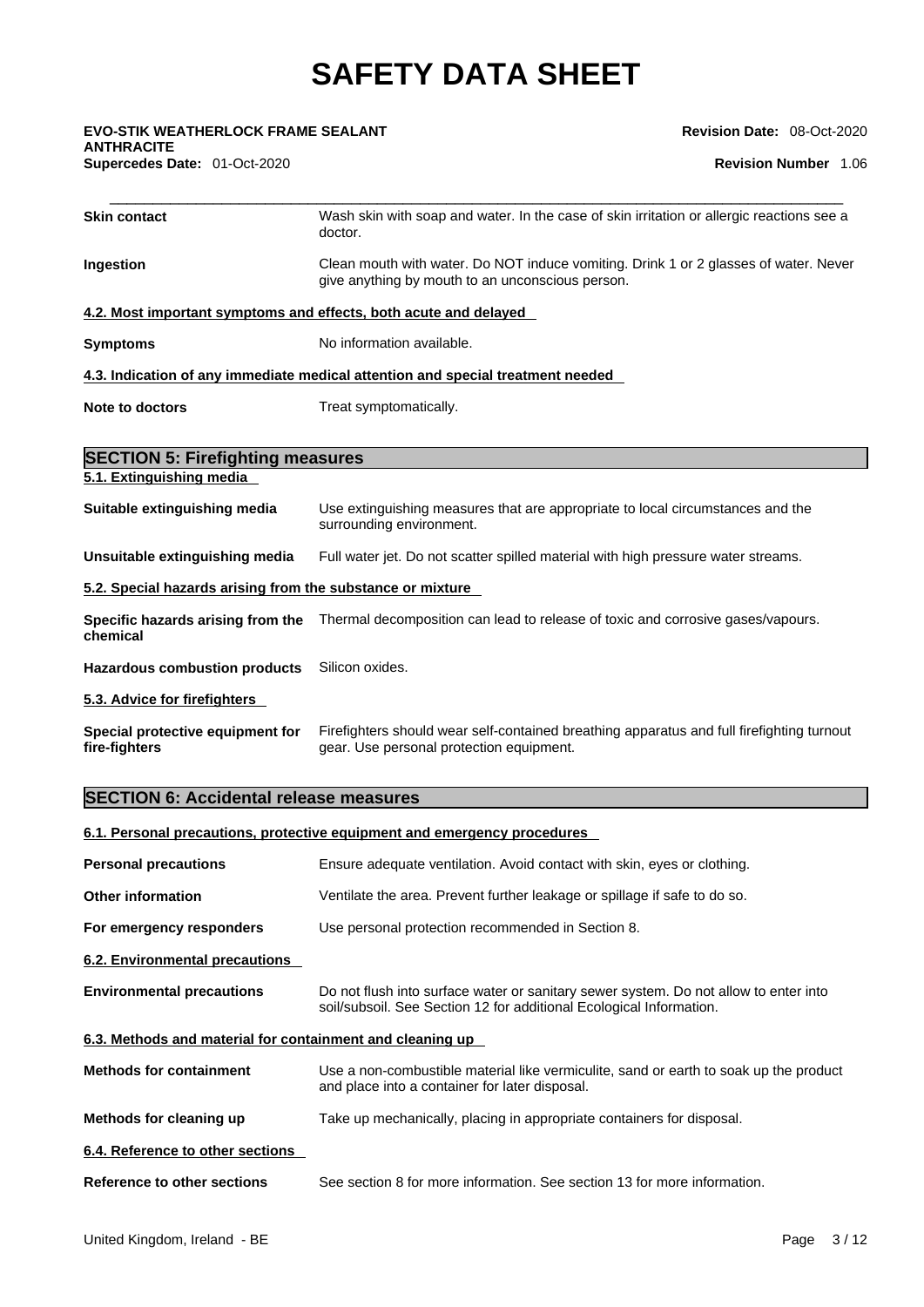**ANTHRACITE** 

**Revision Date:** 08-Oct-2020

| <b>EVO-STIK WEATHERLOCK FRAME SEALANT</b><br><b>ANTHRACITE</b>   | Revision Date: 08-Oct-2020                                                                                                               |
|------------------------------------------------------------------|------------------------------------------------------------------------------------------------------------------------------------------|
| Supercedes Date: 01-Oct-2020                                     | <b>Revision Number 1.06</b>                                                                                                              |
| <b>Skin contact</b>                                              | Wash skin with soap and water. In the case of skin irritation or allergic reactions see a<br>doctor.                                     |
| Ingestion                                                        | Clean mouth with water. Do NOT induce vomiting. Drink 1 or 2 glasses of water. Never<br>give anything by mouth to an unconscious person. |
| 4.2. Most important symptoms and effects, both acute and delayed |                                                                                                                                          |
| <b>Symptoms</b>                                                  | No information available.                                                                                                                |
|                                                                  | 4.3. Indication of any immediate medical attention and special treatment needed                                                          |
| <b>Note to doctors</b>                                           | Treat symptomatically.                                                                                                                   |
| <b>SECTION 5: Firefighting measures</b>                          |                                                                                                                                          |
| 5.1. Extinguishing media                                         |                                                                                                                                          |
| Suitable extinguishing media                                     | Use extinguishing measures that are appropriate to local circumstances and the<br>surrounding environment.                               |
| Unsuitable extinguishing media                                   | Full water jet. Do not scatter spilled material with high pressure water streams.                                                        |
| 5.2. Special hazards arising from the substance or mixture       |                                                                                                                                          |
| chemical                                                         | Specific hazards arising from the Thermal decomposition can lead to release of toxic and corrosive gases/vapours.                        |
| <b>Hazardous combustion products</b>                             | Silicon oxides.                                                                                                                          |
| 5.3. Advice for firefighters                                     |                                                                                                                                          |
| Special protective equipment for                                 | Firefighters should wear self-contained breathing apparatus and full firefighting turnout                                                |

### **SECTION 6: Accidental release measures**

**fire-fighters**

### **6.1. Personal precautions, protective equipment and emergency procedures**

| <b>Personal precautions</b>                               | Ensure adequate ventilation. Avoid contact with skin, eyes or clothing.                                                                                     |
|-----------------------------------------------------------|-------------------------------------------------------------------------------------------------------------------------------------------------------------|
| <b>Other information</b>                                  | Ventilate the area. Prevent further leakage or spillage if safe to do so.                                                                                   |
| For emergency responders                                  | Use personal protection recommended in Section 8.                                                                                                           |
| 6.2. Environmental precautions                            |                                                                                                                                                             |
| <b>Environmental precautions</b>                          | Do not flush into surface water or sanitary sewer system. Do not allow to enter into<br>soil/subsoil. See Section 12 for additional Ecological Information. |
| 6.3. Methods and material for containment and cleaning up |                                                                                                                                                             |
| <b>Methods for containment</b>                            | Use a non-combustible material like vermiculite, sand or earth to soak up the product<br>and place into a container for later disposal.                     |
| Methods for cleaning up                                   | Take up mechanically, placing in appropriate containers for disposal.                                                                                       |
| 6.4. Reference to other sections                          |                                                                                                                                                             |
| <b>Reference to other sections</b>                        | See section 8 for more information. See section 13 for more information.                                                                                    |
|                                                           |                                                                                                                                                             |

gear. Use personal protection equipment.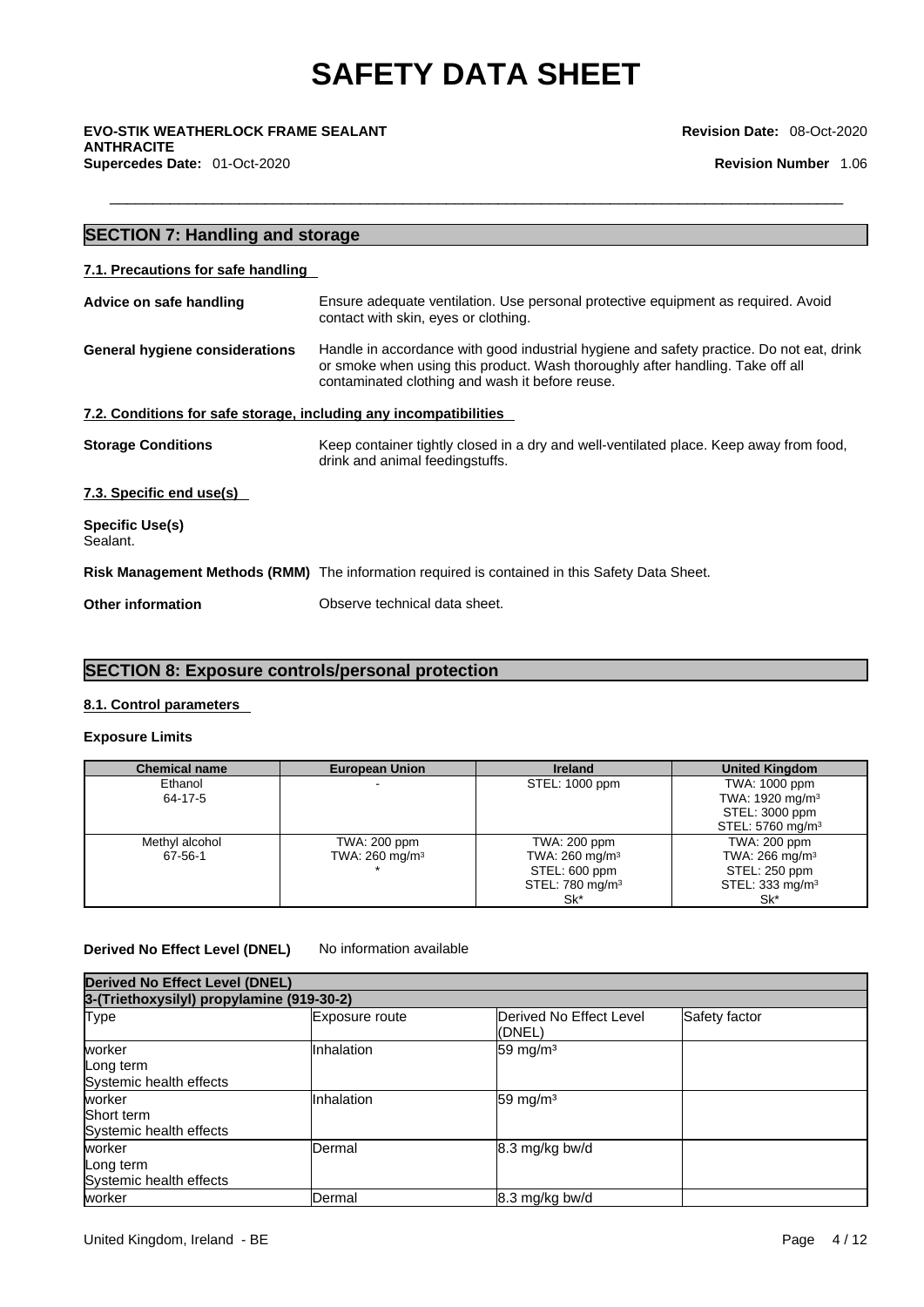\_\_\_\_\_\_\_\_\_\_\_\_\_\_\_\_\_\_\_\_\_\_\_\_\_\_\_\_\_\_\_\_\_\_\_\_\_\_\_\_\_\_\_\_\_\_\_\_\_\_\_\_\_\_\_\_\_\_\_\_\_\_\_\_\_\_\_\_\_\_\_\_\_\_\_\_\_\_\_\_\_\_\_\_\_ **EVO-STIK WEATHERLOCK FRAME SEALANT ANTHRACITE Supercedes Date:** 01-Oct-2020 **Revision Number** 1.06

**Revision Date:** 08-Oct-2020

### **SECTION 7: Handling and storage 7.1. Precautions for safe handling Advice on safe handling** Ensure adequate ventilation. Use personal protective equipment as required.Avoid contact with skin, eyes or clothing. **General hygiene considerations** Handle in accordance with good industrial hygiene and safety practice. Do not eat, drink or smoke when using this product. Wash thoroughly after handling. Take off all contaminated clothing and wash it before reuse. **7.2. Conditions for safe storage, including any incompatibilities Storage Conditions** Keep container tightly closed in a dry and well-ventilated place. Keep away from food, drink and animal feedingstuffs. **7.3. Specific end use(s) Specific Use(s)** Sealant. **Risk Management Methods (RMM)** The information required is contained in this Safety Data Sheet. **Other information** Observe technical data sheet.

### **SECTION 8: Exposure controls/personal protection**

### **8.1. Control parameters**

### **Exposure Limits**

| <b>Chemical name</b> | <b>European Union</b>     | <b>Ireland</b>               | <b>United Kingdom</b>        |
|----------------------|---------------------------|------------------------------|------------------------------|
| Ethanol              |                           | STEL: 1000 ppm               | TWA: 1000 ppm                |
| 64-17-5              |                           |                              | TWA: 1920 mg/m <sup>3</sup>  |
|                      |                           |                              | STEL: 3000 ppm               |
|                      |                           |                              | STEL: 5760 mg/m <sup>3</sup> |
| Methyl alcohol       | TWA: 200 ppm              | TWA: 200 ppm                 | TWA: 200 ppm                 |
| 67-56-1              | TWA: $260 \text{ mg/m}^3$ | TWA: $260$ mg/m <sup>3</sup> | TWA: $266$ mg/m <sup>3</sup> |
|                      |                           | STEL: 600 ppm                | STEL: 250 ppm                |
|                      |                           | STEL: 780 mg/m <sup>3</sup>  | STEL: 333 mg/m <sup>3</sup>  |
|                      |                           | Sk*                          | Sk*                          |

### **Derived No Effect Level (DNEL)** No information available

| <b>Derived No Effect Level (DNEL)</b> |                                           |                                    |               |  |  |  |
|---------------------------------------|-------------------------------------------|------------------------------------|---------------|--|--|--|
|                                       | 3-(Triethoxysilyl) propylamine (919-30-2) |                                    |               |  |  |  |
| Type                                  | Exposure route                            | Derived No Effect Level<br>l(DNEL) | Safety factor |  |  |  |
| worker                                | Inhalation                                | 59 mg/m $3$                        |               |  |  |  |
| Long term                             |                                           |                                    |               |  |  |  |
| Systemic health effects               |                                           |                                    |               |  |  |  |
| worker                                | Inhalation                                | 59 mg/m $3$                        |               |  |  |  |
| Short term                            |                                           |                                    |               |  |  |  |
| Systemic health effects               |                                           |                                    |               |  |  |  |
| worker                                | Dermal                                    | 8.3 mg/kg bw/d                     |               |  |  |  |
| Long term                             |                                           |                                    |               |  |  |  |
| Systemic health effects               |                                           |                                    |               |  |  |  |
| worker                                | Dermal                                    | 8.3 mg/kg bw/d                     |               |  |  |  |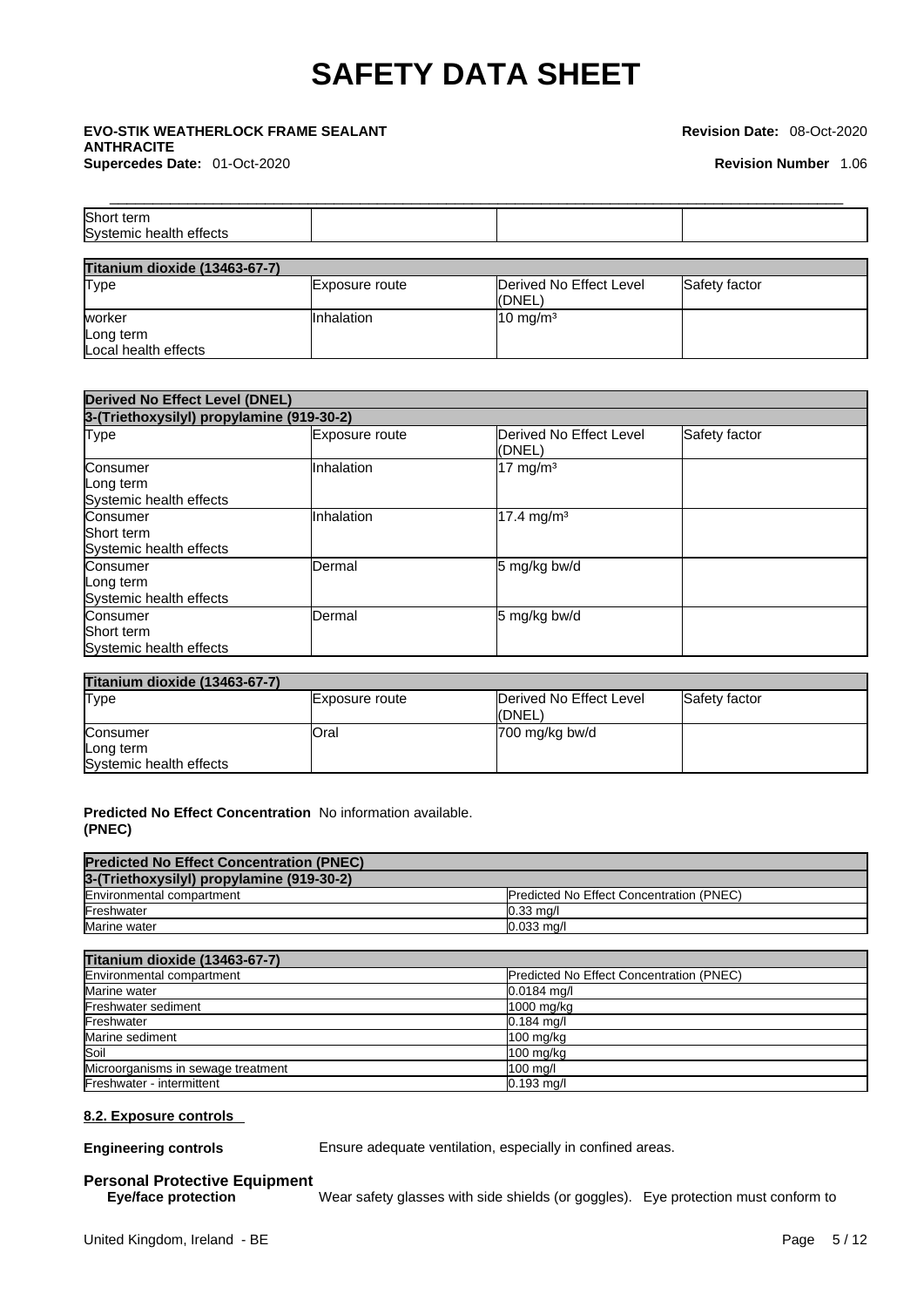### \_\_\_\_\_\_\_\_\_\_\_\_\_\_\_\_\_\_\_\_\_\_\_\_\_\_\_\_\_\_\_\_\_\_\_\_\_\_\_\_\_\_\_\_\_\_\_\_\_\_\_\_\_\_\_\_\_\_\_\_\_\_\_\_\_\_\_\_\_\_\_\_\_\_\_\_\_\_\_\_\_\_\_\_\_ **EVO-STIK WEATHERLOCK FRAME SEALANT ANTHRACITE Supercedes Date:** 01-Oct-2020 **Revision Number** 1.06

#### **Revision Date:** 08-Oct-2020

| Short<br>term                      |  |  |
|------------------------------------|--|--|
| effects<br>Systemic<br>nic health. |  |  |
|                                    |  |  |

| <b>Titanium dioxide (13463-67-7)</b> |                   |                                   |               |
|--------------------------------------|-------------------|-----------------------------------|---------------|
| <b>Type</b>                          | Exposure route    | Derived No Effect Level<br>(DNEL) | Safety factor |
| worker                               | <b>Inhalation</b> | $10 \text{ mg/m}^3$               |               |
| Long term                            |                   |                                   |               |
| Local health effects                 |                   |                                   |               |

| <b>Derived No Effect Level (DNEL)</b>             |                |                                    |               |  |  |
|---------------------------------------------------|----------------|------------------------------------|---------------|--|--|
| 3-(Triethoxysilyl) propylamine (919-30-2)         |                |                                    |               |  |  |
| Type                                              | Exposure route | Derived No Effect Level<br>l(DNEL) | Safety factor |  |  |
| Consumer<br>Long term<br>Systemic health effects  | Inhalation     | $17 \text{ mg/m}^3$                |               |  |  |
| Consumer<br>Short term<br>Systemic health effects | Inhalation     | $17.4 \text{ mg/m}^3$              |               |  |  |
| Consumer<br>Long term<br>Systemic health effects  | Dermal         | 5 mg/kg bw/d                       |               |  |  |
| Consumer<br>Short term<br>Systemic health effects | <b>Dermal</b>  | 5 mg/kg bw/d                       |               |  |  |

| <b>Titanium dioxide (13463-67-7)</b> |                |                                   |               |
|--------------------------------------|----------------|-----------------------------------|---------------|
| Type                                 | Exposure route | Derived No Effect Level<br>(DNEL) | Safety factor |
| Consumer                             | lOral          | 700 mg/kg bw/d                    |               |
| Long term                            |                |                                   |               |
| Systemic health effects              |                |                                   |               |

### **Predicted No Effect Concentration** No information available. **(PNEC)**

| <b>Predicted No Effect Concentration (PNEC)</b> |                                                 |
|-------------------------------------------------|-------------------------------------------------|
| 3-(Triethoxysilyl) propylamine (919-30-2)       |                                                 |
| Environmental compartment                       | <b>Predicted No Effect Concentration (PNEC)</b> |
| Freshwater                                      | $0.33 \text{ ma/l}$                             |
| Marine water                                    | $0.033$ ma/l                                    |

| <b>Titanium dioxide (13463-67-7)</b> |                                                 |  |
|--------------------------------------|-------------------------------------------------|--|
| Environmental compartment            | <b>Predicted No Effect Concentration (PNEC)</b> |  |
| Marine water                         | $0.0184$ mg/l                                   |  |
| Freshwater sediment                  | 1000 mg/kg                                      |  |
| Freshwater                           | $0.184$ mg/l                                    |  |
| Marine sediment                      | $100 \text{ mg/kg}$                             |  |
| Soil                                 | $100 \text{ mg/kg}$                             |  |
| Microorganisms in sewage treatment   | $100$ mg/l                                      |  |
| Freshwater - intermittent            | $0.193$ mg/l                                    |  |

### **8.2. Exposure controls**

**Engineering controls** Ensure adequate ventilation, especially in confined areas.

## **Personal Protective Equipment**

Wear safety glasses with side shields (or goggles). Eye protection must conform to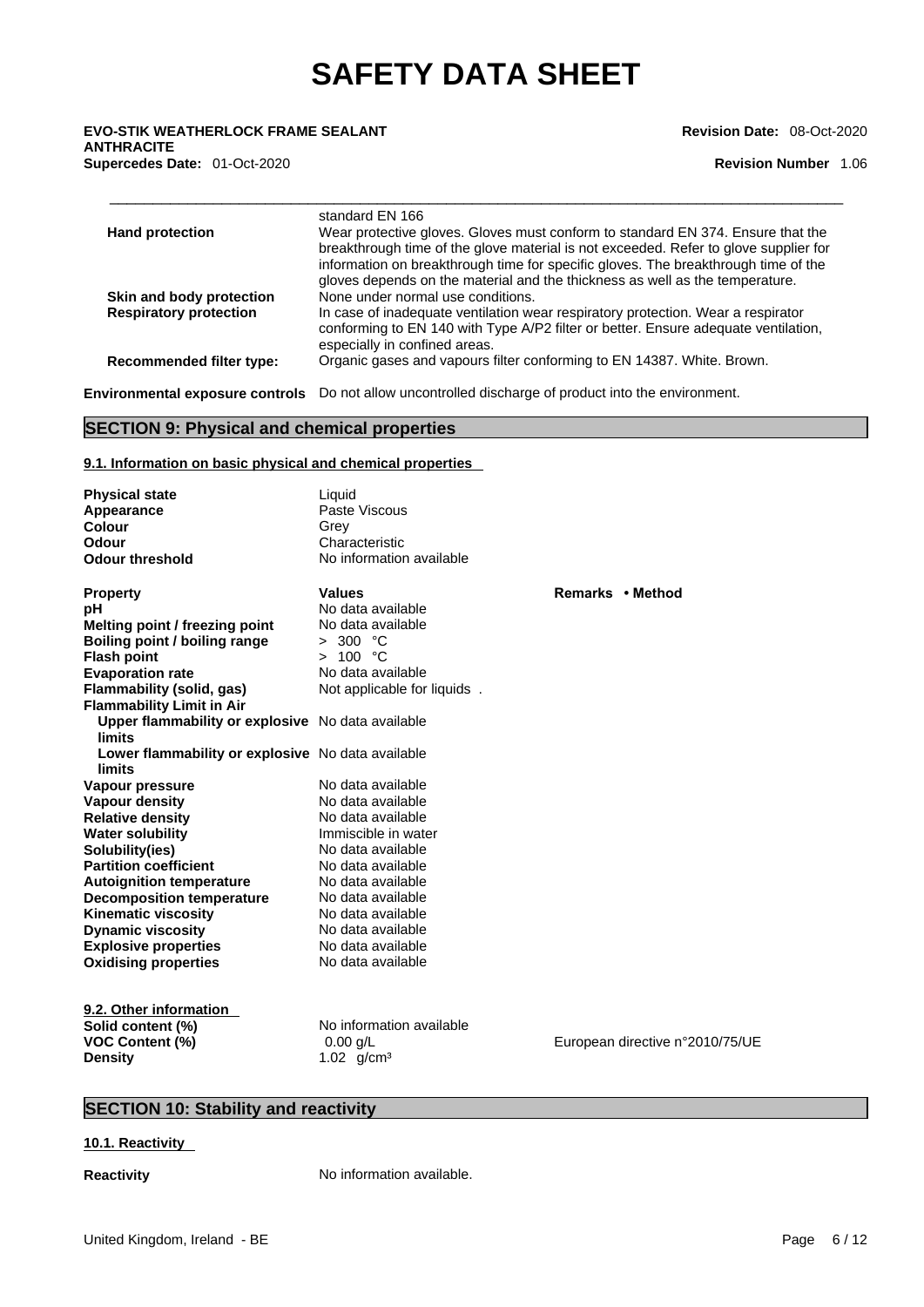\_\_\_\_\_\_\_\_\_\_\_\_\_\_\_\_\_\_\_\_\_\_\_\_\_\_\_\_\_\_\_\_\_\_\_\_\_\_\_\_\_\_\_\_\_\_\_\_\_\_\_\_\_\_\_\_\_\_\_\_\_\_\_\_\_\_\_\_\_\_\_\_\_\_\_\_\_\_\_\_\_\_\_\_\_ **EVO-STIK WEATHERLOCK FRAME SEALANT ANTHRACITE Supercedes Date:** 01-Oct-2020 **Revision Number** 1.06

**Revision Date:** 08-Oct-2020

| <b>Hand protection</b>          | standard EN 166<br>Wear protective gloves. Gloves must conform to standard EN 374. Ensure that the<br>breakthrough time of the glove material is not exceeded. Refer to glove supplier for<br>information on breakthrough time for specific gloves. The breakthrough time of the<br>gloves depends on the material and the thickness as well as the temperature. |
|---------------------------------|------------------------------------------------------------------------------------------------------------------------------------------------------------------------------------------------------------------------------------------------------------------------------------------------------------------------------------------------------------------|
| Skin and body protection        | None under normal use conditions.                                                                                                                                                                                                                                                                                                                                |
| <b>Respiratory protection</b>   | In case of inadequate ventilation wear respiratory protection. Wear a respirator                                                                                                                                                                                                                                                                                 |
|                                 | conforming to EN 140 with Type A/P2 filter or better. Ensure adequate ventilation,<br>especially in confined areas.                                                                                                                                                                                                                                              |
| <b>Recommended filter type:</b> | Organic gases and vapours filter conforming to EN 14387. White. Brown.                                                                                                                                                                                                                                                                                           |
|                                 | <b>Environmental exposure controls</b> Do not allow uncontrolled discharge of product into the environment.                                                                                                                                                                                                                                                      |

### **SECTION 9: Physical and chemical properties**

### **9.1. Information on basic physical and chemical properties**

| <b>Physical state</b>                             | Liquid                      |                                 |
|---------------------------------------------------|-----------------------------|---------------------------------|
| Appearance                                        | Paste Viscous               |                                 |
| Colour                                            | Grey                        |                                 |
| Odour                                             | Characteristic              |                                 |
| <b>Odour threshold</b>                            | No information available    |                                 |
|                                                   |                             |                                 |
| <b>Property</b>                                   | <b>Values</b>               | Remarks • Method                |
| рH                                                | No data available           |                                 |
| Melting point / freezing point                    | No data available           |                                 |
| Boiling point / boiling range                     | > 300 °C                    |                                 |
| <b>Flash point</b>                                | > 100 °C                    |                                 |
| <b>Evaporation rate</b>                           | No data available           |                                 |
| Flammability (solid, gas)                         | Not applicable for liquids. |                                 |
| <b>Flammability Limit in Air</b>                  |                             |                                 |
| Upper flammability or explosive No data available |                             |                                 |
| limits                                            |                             |                                 |
| Lower flammability or explosive No data available |                             |                                 |
| <b>limits</b>                                     |                             |                                 |
| Vapour pressure                                   | No data available           |                                 |
| Vapour density                                    | No data available           |                                 |
| <b>Relative density</b>                           | No data available           |                                 |
| <b>Water solubility</b>                           | Immiscible in water         |                                 |
| Solubility(ies)                                   | No data available           |                                 |
| <b>Partition coefficient</b>                      | No data available           |                                 |
| <b>Autoignition temperature</b>                   | No data available           |                                 |
| <b>Decomposition temperature</b>                  | No data available           |                                 |
| <b>Kinematic viscosity</b>                        | No data available           |                                 |
| <b>Dynamic viscosity</b>                          | No data available           |                                 |
| <b>Explosive properties</b>                       | No data available           |                                 |
| <b>Oxidising properties</b>                       | No data available           |                                 |
|                                                   |                             |                                 |
| 9.2. Other information                            |                             |                                 |
| Solid content (%)                                 | No information available    |                                 |
|                                                   | $0.00$ g/L                  | European directive n°2010/75/UE |
| <b>VOC Content (%)</b>                            |                             |                                 |
| <b>Density</b>                                    | 1.02 $g/cm^3$               |                                 |

### **SECTION 10: Stability and reactivity**

### **10.1. Reactivity**

**Reactivity No information available.**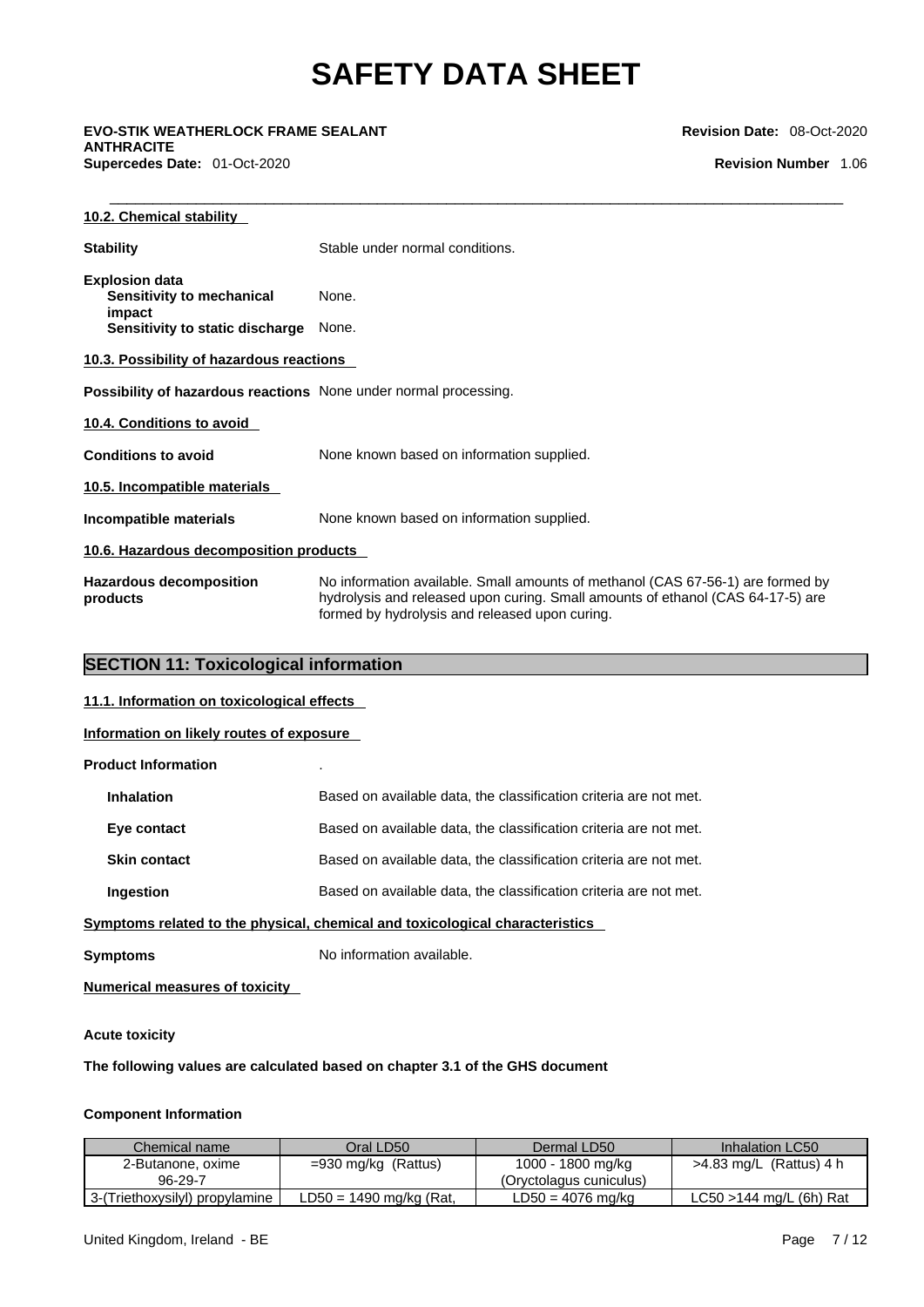\_\_\_\_\_\_\_\_\_\_\_\_\_\_\_\_\_\_\_\_\_\_\_\_\_\_\_\_\_\_\_\_\_\_\_\_\_\_\_\_\_\_\_\_\_\_\_\_\_\_\_\_\_\_\_\_\_\_\_\_\_\_\_\_\_\_\_\_\_\_\_\_\_\_\_\_\_\_\_\_\_\_\_\_\_ **EVO-STIK WEATHERLOCK FRAME SEALANT ANTHRACITE Supercedes Date:** 01-Oct-2020 **Revision Number** 1.06

### **Revision Date:** 08-Oct-2020

| 10.2. Chemical stability                                                |                                                                                                                                                                                                                      |  |  |
|-------------------------------------------------------------------------|----------------------------------------------------------------------------------------------------------------------------------------------------------------------------------------------------------------------|--|--|
| <b>Stability</b>                                                        | Stable under normal conditions.                                                                                                                                                                                      |  |  |
| <b>Explosion data</b><br>Sensitivity to mechanical<br>impact            | None.                                                                                                                                                                                                                |  |  |
| Sensitivity to static discharge                                         | None.                                                                                                                                                                                                                |  |  |
| 10.3. Possibility of hazardous reactions                                |                                                                                                                                                                                                                      |  |  |
| <b>Possibility of hazardous reactions</b> None under normal processing. |                                                                                                                                                                                                                      |  |  |
| 10.4. Conditions to avoid                                               |                                                                                                                                                                                                                      |  |  |
| <b>Conditions to avoid</b>                                              | None known based on information supplied.                                                                                                                                                                            |  |  |
| 10.5. Incompatible materials                                            |                                                                                                                                                                                                                      |  |  |
| Incompatible materials                                                  | None known based on information supplied.                                                                                                                                                                            |  |  |
| 10.6. Hazardous decomposition products                                  |                                                                                                                                                                                                                      |  |  |
| <b>Hazardous decomposition</b><br>products                              | No information available. Small amounts of methanol (CAS 67-56-1) are formed by<br>hydrolysis and released upon curing. Small amounts of ethanol (CAS 64-17-5) are<br>formed by hydrolysis and released upon curing. |  |  |

### **SECTION 11: Toxicological information**

**11.1. Information on toxicological effects**

**Information on likely routes of exposure**

### **Product Information** .

| <b>Inhalation</b>                                                            | Based on available data, the classification criteria are not met. |  |
|------------------------------------------------------------------------------|-------------------------------------------------------------------|--|
| Eye contact                                                                  | Based on available data, the classification criteria are not met. |  |
| <b>Skin contact</b>                                                          | Based on available data, the classification criteria are not met. |  |
| <b>Ingestion</b>                                                             | Based on available data, the classification criteria are not met. |  |
| Symptoms related to the physical, chemical and toxicological characteristics |                                                                   |  |
| <b>Symptoms</b>                                                              | No information available.                                         |  |

**Numerical measures of toxicity**

### **Acute toxicity**

**The following values are calculated based on chapter 3.1 of the GHS document**

### **Component Information**

| Chemical name                  | Oral LD50                 | Dermal LD50             | Inhalation LC50            |
|--------------------------------|---------------------------|-------------------------|----------------------------|
| 2-Butanone, oxime              | $=930$ mg/kg (Rattus)     | 1000 - 1800 mg/kg       | $>4.83$ mg/L (Rattus) 4 h  |
| 96-29-7                        |                           | (Oryctolagus cuniculus) |                            |
| 3-(Triethoxysilyl) propylamine | $LD50 = 1490$ mg/kg (Rat, | $LD50 = 4076$ mg/kg     | $LC50 > 144$ mg/L (6h) Rat |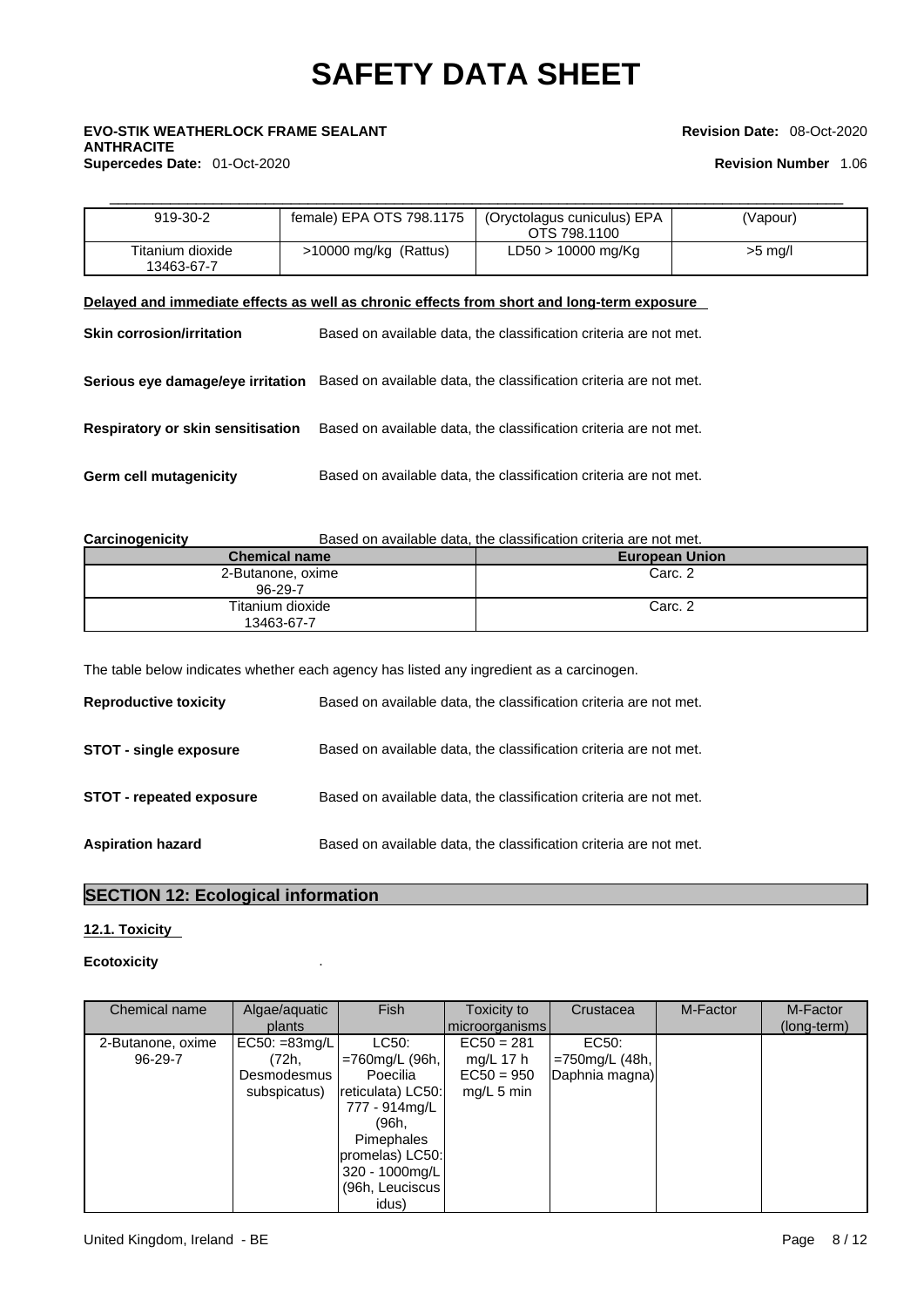## \_\_\_\_\_\_\_\_\_\_\_\_\_\_\_\_\_\_\_\_\_\_\_\_\_\_\_\_\_\_\_\_\_\_\_\_\_\_\_\_\_\_\_\_\_\_\_\_\_\_\_\_\_\_\_\_\_\_\_\_\_\_\_\_\_\_\_\_\_\_\_\_\_\_\_\_\_\_\_\_\_\_\_\_\_ **EVO-STIK WEATHERLOCK FRAME SEALANT ANTHRACITE Supercedes Date:** 01-Oct-2020 **Revision Number** 1.06

### **Revision Date:** 08-Oct-2020

| 919-30-2                       | female) EPA OTS 798.1175 | (Oryctolagus cuniculus) EPA<br>OTS 798.1100 | (Vapour)  |
|--------------------------------|--------------------------|---------------------------------------------|-----------|
| Titanium dioxide<br>13463-67-7 | $>10000$ mg/kg (Rattus)  | $LD50 > 10000$ mg/Kg                        | $>5$ mg/l |

### **Delayed and immediate effects as well as chronic effects from short and long-term exposure**

| <b>Skin corrosion/irritation</b>         | Based on available data, the classification criteria are not met.                                   |
|------------------------------------------|-----------------------------------------------------------------------------------------------------|
|                                          | Serious eye damage/eye irritation Based on available data, the classification criteria are not met. |
| <b>Respiratory or skin sensitisation</b> | Based on available data, the classification criteria are not met.                                   |
| Germ cell mutagenicity                   | Based on available data, the classification criteria are not met.                                   |

| Based on available data, the classification criteria are not met.<br>Carcinogenicity |  |
|--------------------------------------------------------------------------------------|--|
|--------------------------------------------------------------------------------------|--|

| <b>Chemical name</b>           | <b>European Union</b> |
|--------------------------------|-----------------------|
| 2-Butanone, oxime<br>96-29-7   | Carc. 2               |
| Titanium dioxide<br>13463-67-7 | Carc. 2               |

The table below indicates whether each agency has listed any ingredient as a carcinogen.

| <b>Reproductive toxicity</b>    | Based on available data, the classification criteria are not met. |
|---------------------------------|-------------------------------------------------------------------|
| <b>STOT - single exposure</b>   | Based on available data, the classification criteria are not met. |
| <b>STOT - repeated exposure</b> | Based on available data, the classification criteria are not met. |
| <b>Aspiration hazard</b>        | Based on available data, the classification criteria are not met. |

### **SECTION 12: Ecological information**

### **12.1. Toxicity**

### **Ecotoxicity** .

| Chemical name     | Algae/aquatic<br>plants | <b>Fish</b>       | Toxicity to<br>microorganisms | Crustacea      | M-Factor | M-Factor<br>(long-term) |
|-------------------|-------------------------|-------------------|-------------------------------|----------------|----------|-------------------------|
|                   |                         |                   |                               |                |          |                         |
| 2-Butanone, oxime | $EC50: = 83mg/L$        | LC50:             | $EC50 = 281$                  | EC50:          |          |                         |
| 96-29-7           | (72h,                   | $=760$ mg/L (96h, | mg/L 17 $h$                   | =750mg/L (48h, |          |                         |
|                   | Desmodesmus             | Poecilia          | $EC50 = 950$                  | Daphnia magna) |          |                         |
|                   | subspicatus)            | reticulata) LC50: | $mg/L$ 5 min                  |                |          |                         |
|                   |                         | 777 - 914mg/L     |                               |                |          |                         |
|                   |                         | (96h,             |                               |                |          |                         |
|                   |                         | Pimephales        |                               |                |          |                         |
|                   |                         | promelas) LC50:   |                               |                |          |                         |
|                   |                         | 320 - 1000mg/L    |                               |                |          |                         |
|                   |                         | (96h, Leuciscus)  |                               |                |          |                         |
|                   |                         | idus)             |                               |                |          |                         |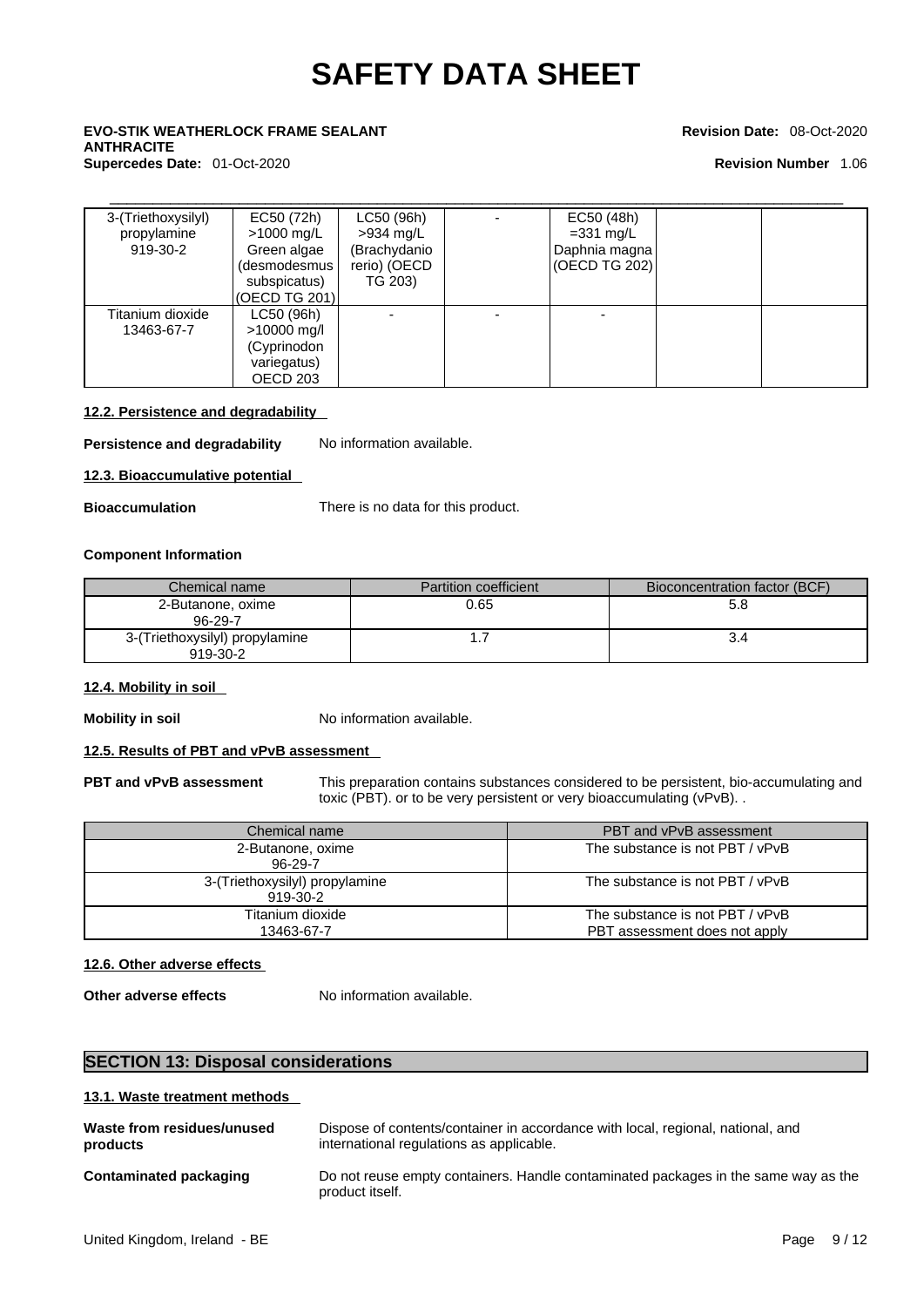# \_\_\_\_\_\_\_\_\_\_\_\_\_\_\_\_\_\_\_\_\_\_\_\_\_\_\_\_\_\_\_\_\_\_\_\_\_\_\_\_\_\_\_\_\_\_\_\_\_\_\_\_\_\_\_\_\_\_\_\_\_\_\_\_\_\_\_\_\_\_\_\_\_\_\_\_\_\_\_\_\_\_\_\_\_ **EVO-STIK WEATHERLOCK FRAME SEALANT ANTHRACITE**

### **Supercedes Date:** 01-Oct-2020 **Revision Number** 1.06

### **Revision Date:** 08-Oct-2020

| 3-(Triethoxysilyl)<br>propylamine<br>919-30-2 | EC50 (72h)<br>$>1000$ mg/L<br>Green algae<br>(desmodesmus<br>subspicatus)<br>(OECD TG 201) | LC50 (96h)<br>>934 mg/L<br>(Brachydanio<br>rerio) (OECD<br>TG 203) | EC50 (48h)<br>$=331$ mg/L<br>Daphnia magna<br>(OECD TG 202) |  |
|-----------------------------------------------|--------------------------------------------------------------------------------------------|--------------------------------------------------------------------|-------------------------------------------------------------|--|
| Titanium dioxide<br>13463-67-7                | LC50 (96h)<br>$>10000$ mg/l<br>(Cyprinodon<br>variegatus)<br>OECD 203                      |                                                                    |                                                             |  |

### **12.2. Persistence and degradability**

**Persistence and degradability** No information available.

**12.3. Bioaccumulative potential** 

**Bioaccumulation** There is no data for this product.

### **Component Information**

| Chemical name                              | <b>Partition coefficient</b> | Bioconcentration factor (BCF) |
|--------------------------------------------|------------------------------|-------------------------------|
| 2-Butanone, oxime<br>96-29-7               | 0.65                         | 5.8                           |
| 3-(Triethoxysilyl) propylamine<br>919-30-2 |                              |                               |

### **12.4. Mobility in soil**

**Mobility in soil** No information available.

### **12.5. Results of PBT and vPvB assessment**

**PBT and vPvB assessment** This preparation contains substances considered to be persistent, bio-accumulating and toxic (PBT). or to be very persistent or very bioaccumulating (vPvB). .

| Chemical name                              | PBT and vPvB assessment                                          |
|--------------------------------------------|------------------------------------------------------------------|
| 2-Butanone, oxime<br>96-29-7               | The substance is not PBT / vPvB                                  |
| 3-(Triethoxysilyl) propylamine<br>919-30-2 | The substance is not PBT / vPvB                                  |
| Titanium dioxide<br>13463-67-7             | The substance is not PBT / vPvB<br>PBT assessment does not apply |

### **12.6. Other adverse effects**

**Other adverse effects** No information available.

### **SECTION 13: Disposal considerations**

### **13.1. Waste treatment methods**

| Waste from residues/unused | Dispose of contents/container in accordance with local, regional, national, and                       |
|----------------------------|-------------------------------------------------------------------------------------------------------|
| products                   | international regulations as applicable.                                                              |
| Contaminated packaging     | Do not reuse empty containers. Handle contaminated packages in the same way as the<br>product itself. |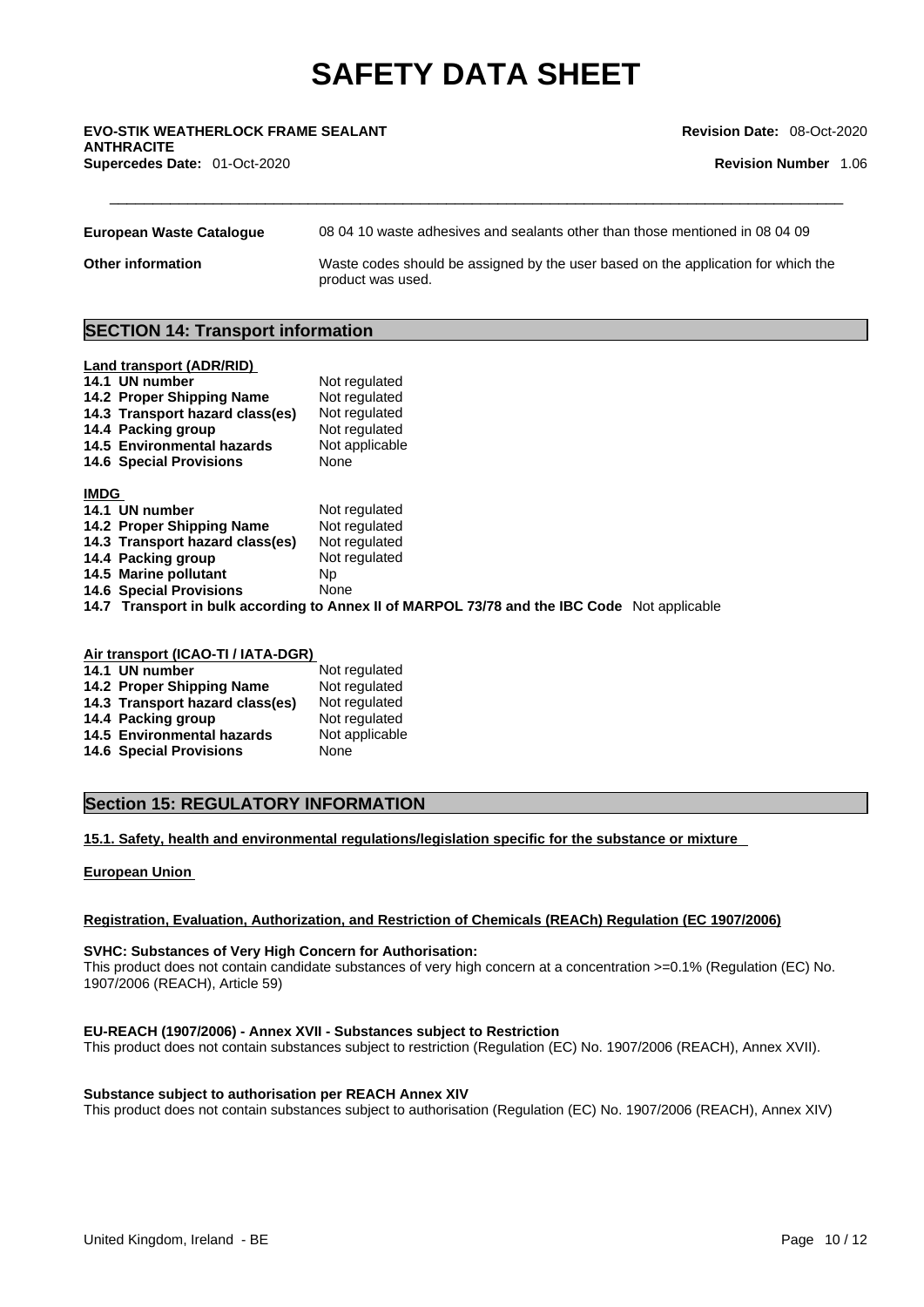## \_\_\_\_\_\_\_\_\_\_\_\_\_\_\_\_\_\_\_\_\_\_\_\_\_\_\_\_\_\_\_\_\_\_\_\_\_\_\_\_\_\_\_\_\_\_\_\_\_\_\_\_\_\_\_\_\_\_\_\_\_\_\_\_\_\_\_\_\_\_\_\_\_\_\_\_\_\_\_\_\_\_\_\_\_ **EVO-STIK WEATHERLOCK FRAME SEALANT ANTHRACITE Supercedes Date:** 01-Oct-2020 **Revision Number** 1.06

**Revision Date:** 08-Oct-2020

| European Waste Cataloque | 08 04 10 waste adhesives and sealants other than those mentioned in 08 04 09                           |
|--------------------------|--------------------------------------------------------------------------------------------------------|
| <b>Other information</b> | Waste codes should be assigned by the user based on the application for which the<br>product was used. |

### **SECTION 14: Transport information**

| <b>Land transport (ADR/RID)</b><br>14.1 UN number<br>14.2 Proper Shipping Name<br>14.3 Transport hazard class(es)<br>14.4 Packing group<br>14.5 Environmental hazards<br><b>14.6 Special Provisions</b> | Not regulated<br>Not regulated<br>Not regulated<br>Not regulated<br>Not applicable<br>None |
|---------------------------------------------------------------------------------------------------------------------------------------------------------------------------------------------------------|--------------------------------------------------------------------------------------------|
| <b>IMDG</b>                                                                                                                                                                                             |                                                                                            |
| 14.1 UN number                                                                                                                                                                                          | Not regulated                                                                              |
| 14.2 Proper Shipping Name                                                                                                                                                                               | Not regulated                                                                              |
| 14.3 Transport hazard class(es)                                                                                                                                                                         | Not regulated                                                                              |
| 14.4 Packing group                                                                                                                                                                                      | Not regulated                                                                              |
| 14.5 Marine pollutant                                                                                                                                                                                   | Np.                                                                                        |
| <b>14.6 Special Provisions</b>                                                                                                                                                                          | None                                                                                       |
|                                                                                                                                                                                                         | .                                                                                          |

**14.7 Transport in bulk according to Annex II of MARPOL 73/78 and the IBC Code** Not applicable

| Air transport (ICAO-TI / IATA-DGR) |                |
|------------------------------------|----------------|
| 14.1 UN number                     | Not regulated  |
| 14.2 Proper Shipping Name          | Not regulated  |
| 14.3 Transport hazard class(es)    | Not regulated  |
| 14.4 Packing group                 | Not regulated  |
| 14.5 Environmental hazards         | Not applicable |
| <b>14.6 Special Provisions</b>     | None           |

### **Section 15: REGULATORY INFORMATION**

**15.1. Safety, health and environmental regulations/legislation specific for the substance or mixture**

### **European Union**

### **Registration, Evaluation, Authorization, and Restriction of Chemicals (REACh) Regulation (EC 1907/2006)**

### **SVHC: Substances of Very High Concern for Authorisation:**

This product does not contain candidate substances of very high concern at a concentration >=0.1% (Regulation (EC) No. 1907/2006 (REACH), Article 59)

### **EU-REACH (1907/2006) - Annex XVII - Substances subject to Restriction**

This product does not contain substances subject to restriction (Regulation (EC) No. 1907/2006 (REACH), Annex XVII).

### **Substance subject to authorisation per REACH Annex XIV**

This product does not contain substances subject to authorisation (Regulation (EC) No. 1907/2006 (REACH), Annex XIV)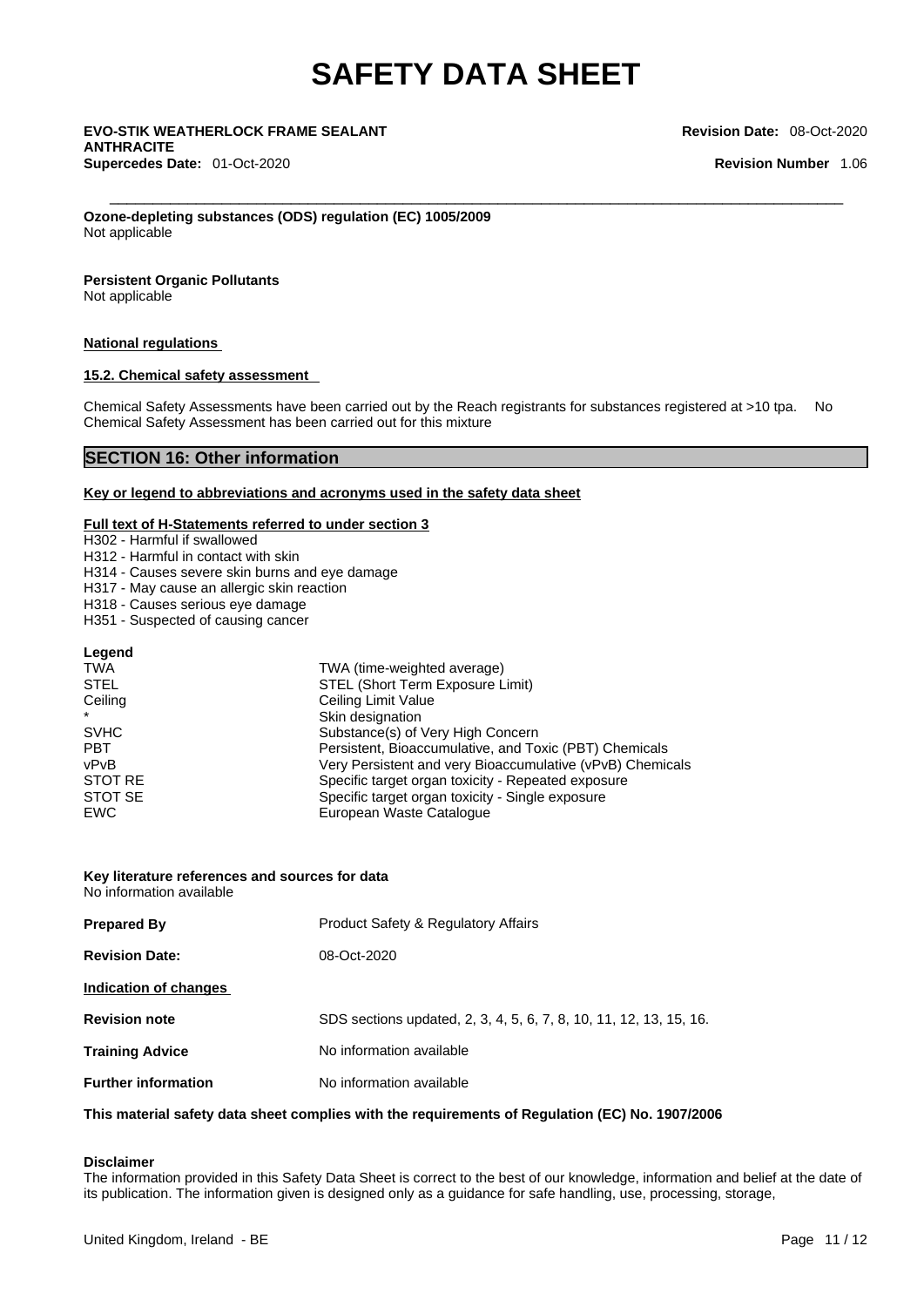\_\_\_\_\_\_\_\_\_\_\_\_\_\_\_\_\_\_\_\_\_\_\_\_\_\_\_\_\_\_\_\_\_\_\_\_\_\_\_\_\_\_\_\_\_\_\_\_\_\_\_\_\_\_\_\_\_\_\_\_\_\_\_\_\_\_\_\_\_\_\_\_\_\_\_\_\_\_\_\_\_\_\_\_\_ **EVO-STIK WEATHERLOCK FRAME SEALANT ANTHRACITE Supercedes Date:** 01-Oct-2020 **Revision Number** 1.06

**Revision Date:** 08-Oct-2020

**Ozone-depleting substances (ODS) regulation (EC) 1005/2009** Not applicable

### **Persistent Organic Pollutants**

Not applicable

### **National regulations**

### **15.2. Chemical safety assessment**

Chemical Safety Assessments have been carried out by the Reach registrants for substances registered at >10 tpa. No Chemical Safety Assessment has been carried out for this mixture

### **SECTION 16: Other information**

### **Key or legend to abbreviations and acronyms used in the safety data sheet**

### **Full text of H-Statements referred to under section 3**

H302 - Harmful if swallowed

H312 - Harmful in contact with skin

H314 - Causes severe skin burns and eye damage

H317 - May cause an allergic skin reaction

H318 - Causes serious eye damage

H351 - Suspected of causing cancer

| Legend      |                                                           |  |
|-------------|-----------------------------------------------------------|--|
| TWA         | TWA (time-weighted average)                               |  |
| <b>STEL</b> | STEL (Short Term Exposure Limit)                          |  |
| Ceiling     | Ceiling Limit Value                                       |  |
| $\star$     | Skin designation                                          |  |
| <b>SVHC</b> | Substance(s) of Very High Concern                         |  |
| <b>PBT</b>  | Persistent, Bioaccumulative, and Toxic (PBT) Chemicals    |  |
| vPvB        | Very Persistent and very Bioaccumulative (vPvB) Chemicals |  |
| STOT RE     | Specific target organ toxicity - Repeated exposure        |  |
| STOT SE     | Specific target organ toxicity - Single exposure          |  |
| <b>EWC</b>  | European Waste Catalogue                                  |  |

### **Key literature references and sources for data** No information available

| <b>Prepared By</b>         | <b>Product Safety &amp; Regulatory Affairs</b>                     |
|----------------------------|--------------------------------------------------------------------|
| <b>Revision Date:</b>      | 08-Oct-2020                                                        |
| Indication of changes      |                                                                    |
| <b>Revision note</b>       | SDS sections updated, 2, 3, 4, 5, 6, 7, 8, 10, 11, 12, 13, 15, 16. |
| <b>Training Advice</b>     | No information available                                           |
| <b>Further information</b> | No information available                                           |

### **This material safety data sheet complies with the requirements of Regulation (EC) No. 1907/2006**

### **Disclaimer**

The information provided in this Safety Data Sheet is correct to the best of our knowledge, information and belief at the date of its publication. The information given is designed only as a guidance for safe handling, use, processing, storage,